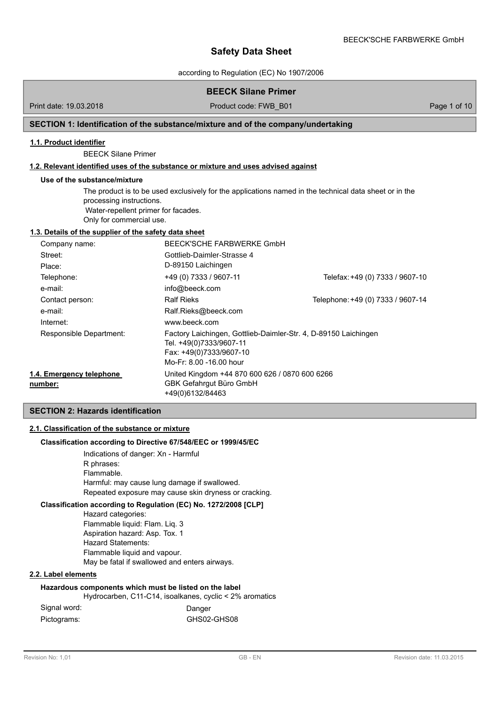BEECK'SCHE FARBWERKE GmbH

according to Regulation (EC) No 1907/2006

## **BEECK Silane Primer**

Print date: 19.03.2018 **Product code: FWB\_B01** Page 1 of 10

## **SECTION 1: Identification of the substance/mixture and of the company/undertaking**

#### **1.1. Product identifier**

BEECK Silane Primer

## **1.2. Relevant identified uses of the substance or mixture and uses advised against**

#### **Use of the substance/mixture**

The product is to be used exclusively for the applications named in the technical data sheet or in the processing instructions. Water-repellent primer for facades. Only for commercial use.

## **1.3. Details of the supplier of the safety data sheet**

| Company name:                       | BEECK'SCHE FARBWERKE GmbH                                                                                                                        |                                   |
|-------------------------------------|--------------------------------------------------------------------------------------------------------------------------------------------------|-----------------------------------|
| Street:                             | Gottlieb-Daimler-Strasse 4                                                                                                                       |                                   |
| Place:                              | D-89150 Laichingen                                                                                                                               |                                   |
| Telephone:                          | +49 (0) 7333 / 9607-11                                                                                                                           | Telefax: +49 (0) 7333 / 9607-10   |
| e-mail:                             | info@beeck.com                                                                                                                                   |                                   |
| Contact person:                     | <b>Ralf Rieks</b>                                                                                                                                | Telephone: +49 (0) 7333 / 9607-14 |
| e-mail:                             | Ralf.Rieks@beeck.com                                                                                                                             |                                   |
| Internet:                           | www.beeck.com                                                                                                                                    |                                   |
| Responsible Department:             | Factory Laichingen, Gottlieb-Daimler-Str. 4, D-89150 Laichingen<br>Tel. +49(0)7333/9607-11<br>Fax: +49(0)7333/9607-10<br>Mo-Fr: 8.00 -16.00 hour |                                   |
| 1.4. Emergency telephone<br>number: | United Kingdom +44 870 600 626 / 0870 600 6266<br>GBK Gefahrgut Büro GmbH<br>+49(0)6132/84463                                                    |                                   |

### **SECTION 2: Hazards identification**

### **2.1. Classification of the substance or mixture**

#### **Classification according to Directive 67/548/EEC or 1999/45/EC**

Indications of danger: Xn - Harmful R phrases: Flammable. Harmful: may cause lung damage if swallowed. Repeated exposure may cause skin dryness or cracking.

## **Classification according to Regulation (EC) No. 1272/2008 [CLP]**

Hazard categories: Flammable liquid: Flam. Liq. 3 Aspiration hazard: Asp. Tox. 1 Hazard Statements: Flammable liquid and vapour. May be fatal if swallowed and enters airways.

#### **2.2. Label elements**

## **Hazardous components which must be listed on the label**

Hydrocarben, C11-C14, isoalkanes, cyclic < 2% aromatics

| Signal word: | Danger      |
|--------------|-------------|
| Pictograms:  | GHS02-GHS08 |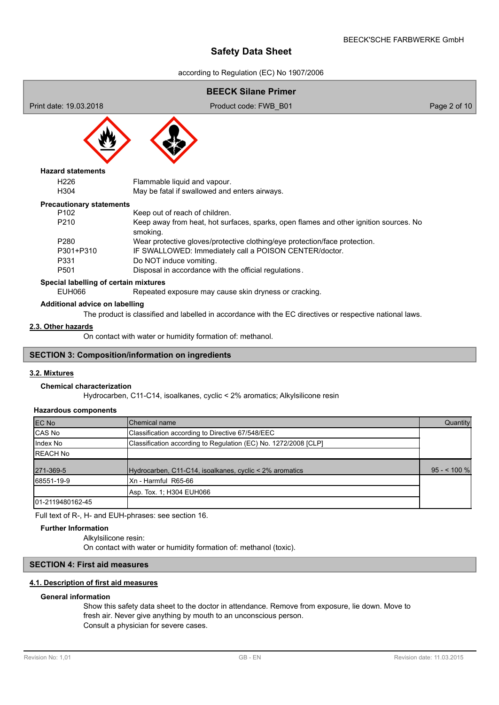according to Regulation (EC) No 1907/2006

# **BEECK Silane Primer** Print date: 19.03.2018 Product code: FWB\_B01 Page 2 of 10 H226 Flammable liquid and vapour. H304 May be fatal if swallowed and enters airways. **Hazard statements** P102 Keep out of reach of children. P210 Keep away from heat, hot surfaces, sparks, open flames and other ignition sources. No smoking. P280 Wear protective gloves/protective clothing/eye protection/face protection. P301+P310 IF SWALLOWED: Immediately call a POISON CENTER/doctor. P331 Do NOT induce vomiting. P501 Disposal in accordance with the official regulations. **Precautionary statements Special labelling of certain mixtures** EUH066 Repeated exposure may cause skin dryness or cracking.

#### **Additional advice on labelling**

The product is classified and labelled in accordance with the EC directives or respective national laws.

## **2.3. Other hazards**

On contact with water or humidity formation of: methanol.

## **SECTION 3: Composition/information on ingredients**

#### **3.2. Mixtures**

### **Chemical characterization**

Hydrocarben, C11-C14, isoalkanes, cyclic < 2% aromatics; Alkylsilicone resin

#### **Hazardous components**

| EC No             | Chemical name                                                   | Quantity     |
|-------------------|-----------------------------------------------------------------|--------------|
| CAS No            | Classification according to Directive 67/548/EEC                |              |
| Index No          | Classification according to Regulation (EC) No. 1272/2008 [CLP] |              |
| <b>REACH No</b>   |                                                                 |              |
| 271-369-5         | Hydrocarben, C11-C14, isoalkanes, cyclic < 2% aromatics         | $95 - 100$ % |
| 68551-19-9        | Xn - Harmful R65-66                                             |              |
|                   | Asp. Tox. 1; H304 EUH066                                        |              |
| 101-2119480162-45 |                                                                 |              |

Full text of R-, H- and EUH-phrases: see section 16.

## **Further Information**

Alkylsilicone resin:

On contact with water or humidity formation of: methanol (toxic).

## **SECTION 4: First aid measures**

## **4.1. Description of first aid measures**

#### **General information**

Show this safety data sheet to the doctor in attendance. Remove from exposure, lie down. Move to fresh air. Never give anything by mouth to an unconscious person. Consult a physician for severe cases.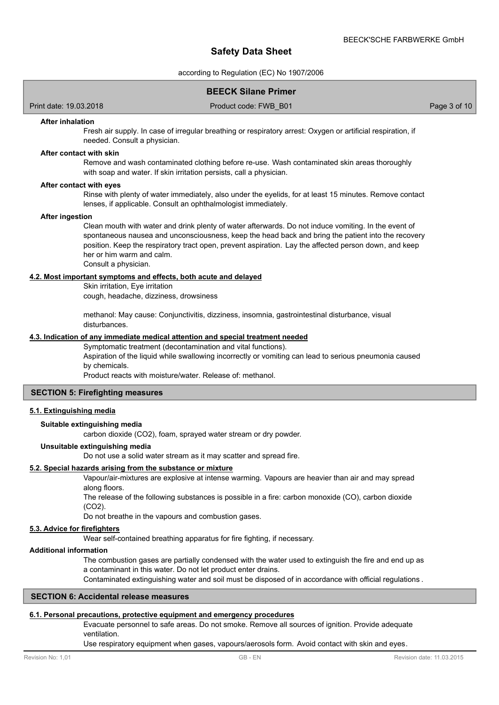according to Regulation (EC) No 1907/2006

## **BEECK Silane Primer**

Print date: 19.03.2018 Product code: FWB\_B01 Page 3 of 10

#### **After inhalation**

Fresh air supply. In case of irregular breathing or respiratory arrest: Oxygen or artificial respiration, if needed. Consult a physician.

#### **After contact with skin**

Remove and wash contaminated clothing before re-use. Wash contaminated skin areas thoroughly with soap and water. If skin irritation persists, call a physician.

#### **After contact with eyes**

Rinse with plenty of water immediately, also under the eyelids, for at least 15 minutes. Remove contact lenses, if applicable. Consult an ophthalmologist immediately.

### **After ingestion**

Clean mouth with water and drink plenty of water afterwards. Do not induce vomiting. In the event of spontaneous nausea and unconsciousness, keep the head back and bring the patient into the recovery position. Keep the respiratory tract open, prevent aspiration. Lay the affected person down, and keep her or him warm and calm. Consult a physician.

#### **4.2. Most important symptoms and effects, both acute and delayed**

Skin irritation, Eye irritation

cough, headache, dizziness, drowsiness

methanol: May cause: Conjunctivitis, dizziness, insomnia, gastrointestinal disturbance, visual disturbances.

#### **4.3. Indication of any immediate medical attention and special treatment needed**

Symptomatic treatment (decontamination and vital functions).

Aspiration of the liquid while swallowing incorrectly or vomiting can lead to serious pneumonia caused by chemicals.

Product reacts with moisture/water. Release of: methanol.

### **SECTION 5: Firefighting measures**

### **5.1. Extinguishing media**

#### **Suitable extinguishing media**

carbon dioxide (CO2), foam, sprayed water stream or dry powder.

## **Unsuitable extinguishing media**

Do not use a solid water stream as it may scatter and spread fire.

#### **5.2. Special hazards arising from the substance or mixture**

Vapour/air-mixtures are explosive at intense warming. Vapours are heavier than air and may spread along floors.

The release of the following substances is possible in a fire: carbon monoxide (CO), carbon dioxide (CO2).

Do not breathe in the vapours and combustion gases.

#### **5.3. Advice for firefighters**

Wear self-contained breathing apparatus for fire fighting, if necessary.

### **Additional information**

The combustion gases are partially condensed with the water used to extinguish the fire and end up as a contaminant in this water. Do not let product enter drains.

Contaminated extinguishing water and soil must be disposed of in accordance with official regulations .

#### **SECTION 6: Accidental release measures**

#### **6.1. Personal precautions, protective equipment and emergency procedures**

Evacuate personnel to safe areas. Do not smoke. Remove all sources of ignition. Provide adequate ventilation.

Use respiratory equipment when gases, vapours/aerosols form. Avoid contact with skin and eyes.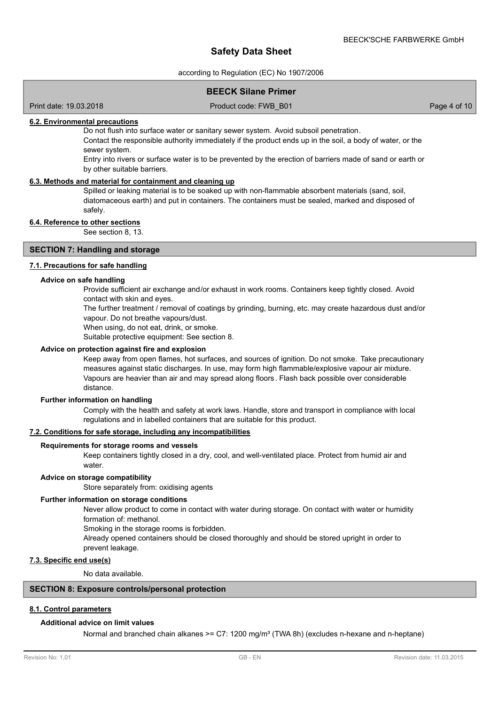according to Regulation (EC) No 1907/2006

## **BEECK Silane Primer**

Print date: 19.03.2018 Product code: FWB\_B01 Page 4 of 10

### **6.2. Environmental precautions**

Do not flush into surface water or sanitary sewer system. Avoid subsoil penetration.

Contact the responsible authority immediately if the product ends up in the soil, a body of water, or the sewer system.

Entry into rivers or surface water is to be prevented by the erection of barriers made of sand or earth or by other suitable barriers.

### **6.3. Methods and material for containment and cleaning up**

Spilled or leaking material is to be soaked up with non-flammable absorbent materials (sand. soil. diatomaceous earth) and put in containers. The containers must be sealed, marked and disposed of safely.

### **6.4. Reference to other sections**

See section 8, 13.

## **SECTION 7: Handling and storage**

### **7.1. Precautions for safe handling**

#### **Advice on safe handling**

Provide sufficient air exchange and/or exhaust in work rooms. Containers keep tightly closed. Avoid contact with skin and eyes.

The further treatment / removal of coatings by grinding, burning, etc. may create hazardous dust and/or vapour. Do not breathe vapours/dust.

When using, do not eat, drink, or smoke.

Suitable protective equipment: See section 8.

### **Advice on protection against fire and explosion**

Keep away from open flames, hot surfaces, and sources of ignition. Do not smoke. Take precautionary measures against static discharges. In use, may form high flammable/explosive vapour air mixture. Vapours are heavier than air and may spread along floors. Flash back possible over considerable distance.

#### **Further information on handling**

Comply with the health and safety at work laws. Handle, store and transport in compliance with local regulations and in labelled containers that are suitable for this product.

## **7.2. Conditions for safe storage, including any incompatibilities**

#### **Requirements for storage rooms and vessels**

Keep containers tightly closed in a dry, cool, and well-ventilated place. Protect from humid air and water

#### **Advice on storage compatibility**

Store separately from: oxidising agents

#### **Further information on storage conditions**

Never allow product to come in contact with water during storage. On contact with water or humidity formation of: methanol.

Smoking in the storage rooms is forbidden.

Already opened containers should be closed thoroughly and should be stored upright in order to prevent leakage.

## **7.3. Specific end use(s)**

No data available.

### **SECTION 8: Exposure controls/personal protection**

## **8.1. Control parameters**

#### **Additional advice on limit values**

Normal and branched chain alkanes >=  $C7: 1200$  mg/m<sup>3</sup> (TWA 8h) (excludes n-hexane and n-heptane)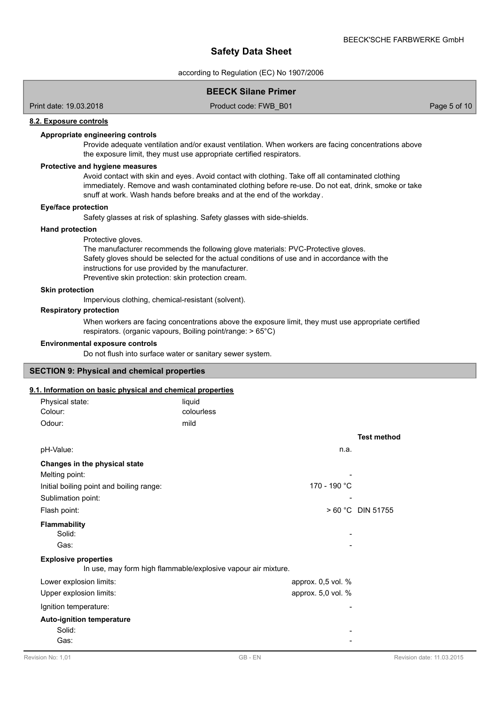according to Regulation (EC) No 1907/2006

## **BEECK Silane Primer**

Print date: 19.03.2018 Product code: FWB\_B01 Page 5 of 10

### **8.2. Exposure controls**

#### **Appropriate engineering controls**

Provide adequate ventilation and/or exaust ventilation. When workers are facing concentrations above the exposure limit, they must use appropriate certified respirators.

## **Protective and hygiene measures**

Avoid contact with skin and eyes. Avoid contact with clothing. Take off all contaminated clothing immediately. Remove and wash contaminated clothing before re-use. Do not eat, drink, smoke or take snuff at work. Wash hands before breaks and at the end of the workday.

#### **Eye/face protection**

Safety glasses at risk of splashing. Safety glasses with side-shields.

#### **Hand protection**

#### Protective gloves.

The manufacturer recommends the following glove materials: PVC-Protective gloves. Safety gloves should be selected for the actual conditions of use and in accordance with the instructions for use provided by the manufacturer. Preventive skin protection: skin protection cream.

#### **Skin protection**

Impervious clothing, chemical-resistant (solvent).

#### **Respiratory protection**

When workers are facing concentrations above the exposure limit, they must use appropriate certified respirators. (organic vapours, Boiling point/range: > 65°C)

#### **Environmental exposure controls**

Do not flush into surface water or sanitary sewer system.

#### **SECTION 9: Physical and chemical properties**

#### **9.1. Information on basic physical and chemical properties**

| Physical state:<br>Colour:                         | liquid<br>colourless                                          |                    |
|----------------------------------------------------|---------------------------------------------------------------|--------------------|
| Odour:                                             | mild                                                          |                    |
|                                                    |                                                               | <b>Test method</b> |
| pH-Value:                                          | n.a.                                                          |                    |
| Changes in the physical state<br>Melting point:    |                                                               |                    |
| Initial boiling point and boiling range:           | 170 - 190 °C                                                  |                    |
| Sublimation point:                                 |                                                               |                    |
| Flash point:                                       |                                                               | > 60 °C DIN 51755  |
| <b>Flammability</b><br>Solid:                      |                                                               |                    |
| Gas:                                               |                                                               |                    |
| <b>Explosive properties</b>                        | In use, may form high flammable/explosive vapour air mixture. |                    |
| Lower explosion limits:                            | approx. 0,5 vol. %                                            |                    |
| Upper explosion limits:                            | approx. 5,0 vol. %                                            |                    |
| Ignition temperature:                              |                                                               |                    |
| <b>Auto-ignition temperature</b><br>Solid:<br>Gas: |                                                               |                    |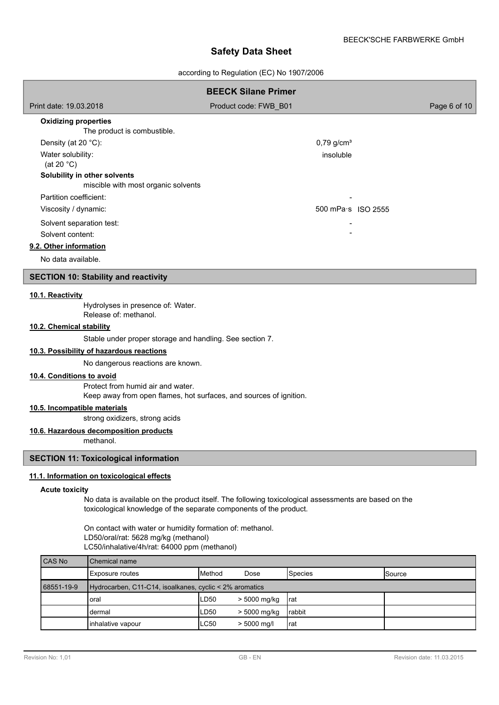according to Regulation (EC) No 1907/2006

|                                                                     | <b>BEECK Silane Primer</b> |              |
|---------------------------------------------------------------------|----------------------------|--------------|
| Print date: 19.03.2018                                              | Product code: FWB B01      | Page 6 of 10 |
| <b>Oxidizing properties</b><br>The product is combustible.          |                            |              |
| Density (at 20 $°C$ ):                                              | $0,79$ g/cm <sup>3</sup>   |              |
| Water solubility:<br>(at 20 $^{\circ}$ C)                           | insoluble                  |              |
| Solubility in other solvents<br>miscible with most organic solvents |                            |              |
| Partition coefficient:                                              |                            |              |
| Viscosity / dynamic:                                                | 500 mPa s ISO 2555         |              |
| Solvent separation test:                                            |                            |              |
| Solvent content:                                                    |                            |              |
| 9.2. Other information                                              |                            |              |
| No data available.                                                  |                            |              |

## **SECTION 10: Stability and reactivity**

### **10.1. Reactivity**

Hydrolyses in presence of: Water. Release of: methanol.

## **10.2. Chemical stability**

Stable under proper storage and handling. See section 7.

## **10.3. Possibility of hazardous reactions**

No dangerous reactions are known.

Protect from humid air and water. Keep away from open flames, hot surfaces, and sources of ignition. **10.4. Conditions to avoid**

### **10.5. Incompatible materials**

strong oxidizers, strong acids

## **10.6. Hazardous decomposition products**

methanol.

## **SECTION 11: Toxicological information**

### **11.1. Information on toxicological effects**

#### **Acute toxicity**

No data is available on the product itself. The following toxicological assessments are based on the toxicological knowledge of the separate components of the product.

On contact with water or humidity formation of: methanol. LD50/oral/rat: 5628 mg/kg (methanol) LC50/inhalative/4h/rat: 64000 ppm (methanol)

| CAS No     | <b>I</b> Chemical name                                  |                 |               |         |                 |
|------------|---------------------------------------------------------|-----------------|---------------|---------|-----------------|
|            | Exposure routes                                         | <b>I</b> Method | Dose          | Species | <b>I</b> Source |
| 68551-19-9 | Hydrocarben, C11-C14, isoalkanes, cyclic < 2% aromatics |                 |               |         |                 |
|            | Ioral                                                   | LD50            | > 5000 mg/kg  | Irat    |                 |
|            | Idermal                                                 | LD50            | > 5000 mg/kg  | rabbit  |                 |
|            | linhalative vapour                                      | <b>LC50</b>     | $> 5000$ mg/l | Irat    |                 |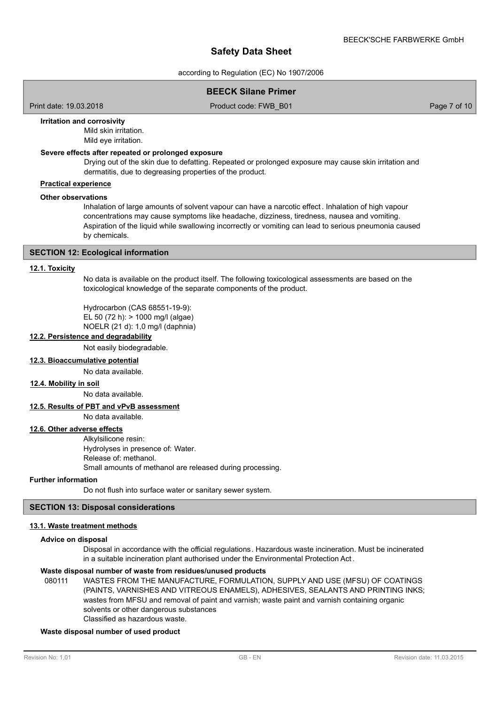according to Regulation (EC) No 1907/2006

## **BEECK Silane Primer**

Print date: 19.03.2018 **Product code: FWB\_B01** Page 7 of 10

#### **Irritation and corrosivity**

Mild skin irritation. Mild eye irritation.

### **Severe effects after repeated or prolonged exposure**

Drying out of the skin due to defatting. Repeated or prolonged exposure may cause skin irritation and dermatitis, due to degreasing properties of the product.

## **Practical experience**

#### **Other observations**

Inhalation of large amounts of solvent vapour can have a narcotic effect . Inhalation of high vapour concentrations may cause symptoms like headache, dizziness, tiredness, nausea and vomiting. Aspiration of the liquid while swallowing incorrectly or vomiting can lead to serious pneumonia caused by chemicals.

#### **SECTION 12: Ecological information**

#### **12.1. Toxicity**

No data is available on the product itself. The following toxicological assessments are based on the toxicological knowledge of the separate components of the product.

Hydrocarbon (CAS 68551-19-9):

EL 50 (72 h): > 1000 mg/l (algae)

NOELR (21 d): 1,0 mg/l (daphnia)

## **12.2. Persistence and degradability**

Not easily biodegradable.

## **12.3. Bioaccumulative potential**

No data available.

## **12.4. Mobility in soil**

No data available.

### **12.5. Results of PBT and vPvB assessment**

No data available.

### **12.6. Other adverse effects**

Alkylsilicone resin: Hydrolyses in presence of: Water. Release of: methanol. Small amounts of methanol are released during processing.

#### **Further information**

Do not flush into surface water or sanitary sewer system.

### **SECTION 13: Disposal considerations**

#### **13.1. Waste treatment methods**

#### **Advice on disposal**

Disposal in accordance with the official regulations. Hazardous waste incineration. Must be incinerated in a suitable incineration plant authorised under the Environmental Protection Act .

#### **Waste disposal number of waste from residues/unused products**

080111 WASTES FROM THE MANUFACTURE, FORMULATION, SUPPLY AND USE (MFSU) OF COATINGS (PAINTS, VARNISHES AND VITREOUS ENAMELS), ADHESIVES, SEALANTS AND PRINTING INKS; wastes from MFSU and removal of paint and varnish; waste paint and varnish containing organic solvents or other dangerous substances Classified as hazardous waste.

## **Waste disposal number of used product**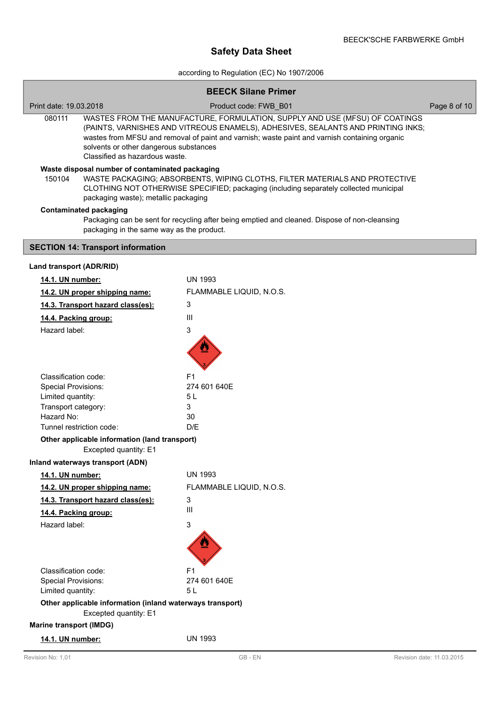according to Regulation (EC) No 1907/2006

| <b>BEECK Silane Primer</b>                                                                                                                                                                                                                                                |                                                                                                                                                                                                                                                                                                                                              |              |  |  |  |
|---------------------------------------------------------------------------------------------------------------------------------------------------------------------------------------------------------------------------------------------------------------------------|----------------------------------------------------------------------------------------------------------------------------------------------------------------------------------------------------------------------------------------------------------------------------------------------------------------------------------------------|--------------|--|--|--|
| Print date: 19.03.2018                                                                                                                                                                                                                                                    | Product code: FWB_B01                                                                                                                                                                                                                                                                                                                        | Page 8 of 10 |  |  |  |
| 080111                                                                                                                                                                                                                                                                    | WASTES FROM THE MANUFACTURE, FORMULATION, SUPPLY AND USE (MFSU) OF COATINGS<br>(PAINTS, VARNISHES AND VITREOUS ENAMELS), ADHESIVES, SEALANTS AND PRINTING INKS;<br>wastes from MFSU and removal of paint and varnish; waste paint and varnish containing organic<br>solvents or other dangerous substances<br>Classified as hazardous waste. |              |  |  |  |
| Waste disposal number of contaminated packaging<br>WASTE PACKAGING; ABSORBENTS, WIPING CLOTHS, FILTER MATERIALS AND PROTECTIVE<br>150104<br>CLOTHING NOT OTHERWISE SPECIFIED; packaging (including separately collected municipal<br>packaging waste); metallic packaging |                                                                                                                                                                                                                                                                                                                                              |              |  |  |  |
| <b>Contaminated packaging</b><br>Packaging can be sent for recycling after being emptied and cleaned. Dispose of non-cleansing<br>packaging in the same way as the product.                                                                                               |                                                                                                                                                                                                                                                                                                                                              |              |  |  |  |
| <b>SECTION 14: Transport information</b>                                                                                                                                                                                                                                  |                                                                                                                                                                                                                                                                                                                                              |              |  |  |  |
| Land transport (ADR/RID)                                                                                                                                                                                                                                                  |                                                                                                                                                                                                                                                                                                                                              |              |  |  |  |
| 14.1. UN number:                                                                                                                                                                                                                                                          | <b>UN 1993</b>                                                                                                                                                                                                                                                                                                                               |              |  |  |  |
| 14.2. UN proper shipping name:                                                                                                                                                                                                                                            | FLAMMABLE LIQUID, N.O.S.                                                                                                                                                                                                                                                                                                                     |              |  |  |  |
| 14.3. Transport hazard class(es):                                                                                                                                                                                                                                         | 3                                                                                                                                                                                                                                                                                                                                            |              |  |  |  |
| 14.4. Packing group:                                                                                                                                                                                                                                                      | III                                                                                                                                                                                                                                                                                                                                          |              |  |  |  |
| Hazard label:                                                                                                                                                                                                                                                             | 3                                                                                                                                                                                                                                                                                                                                            |              |  |  |  |
|                                                                                                                                                                                                                                                                           |                                                                                                                                                                                                                                                                                                                                              |              |  |  |  |
| Classification code:                                                                                                                                                                                                                                                      | F1                                                                                                                                                                                                                                                                                                                                           |              |  |  |  |
| Special Provisions:                                                                                                                                                                                                                                                       | 274 601 640E                                                                                                                                                                                                                                                                                                                                 |              |  |  |  |
| Limited quantity:                                                                                                                                                                                                                                                         | 5 L                                                                                                                                                                                                                                                                                                                                          |              |  |  |  |
| Transport category:<br>Hazard No:                                                                                                                                                                                                                                         | 3<br>30                                                                                                                                                                                                                                                                                                                                      |              |  |  |  |
| Tunnel restriction code:                                                                                                                                                                                                                                                  | D/E                                                                                                                                                                                                                                                                                                                                          |              |  |  |  |
| Other applicable information (land transport)<br>Excepted quantity: E1                                                                                                                                                                                                    |                                                                                                                                                                                                                                                                                                                                              |              |  |  |  |
| Inland waterways transport (ADN)                                                                                                                                                                                                                                          |                                                                                                                                                                                                                                                                                                                                              |              |  |  |  |
| 14.1. UN number:                                                                                                                                                                                                                                                          | UN 1993                                                                                                                                                                                                                                                                                                                                      |              |  |  |  |
| 14.2. UN proper shipping name:                                                                                                                                                                                                                                            | FLAMMABLE LIQUID, N.O.S.                                                                                                                                                                                                                                                                                                                     |              |  |  |  |
| 14.3. Transport hazard class(es):                                                                                                                                                                                                                                         | 3                                                                                                                                                                                                                                                                                                                                            |              |  |  |  |
| 14.4. Packing group:                                                                                                                                                                                                                                                      | III                                                                                                                                                                                                                                                                                                                                          |              |  |  |  |
| Hazard label:                                                                                                                                                                                                                                                             | 3                                                                                                                                                                                                                                                                                                                                            |              |  |  |  |
|                                                                                                                                                                                                                                                                           |                                                                                                                                                                                                                                                                                                                                              |              |  |  |  |
| Classification code:                                                                                                                                                                                                                                                      | F1                                                                                                                                                                                                                                                                                                                                           |              |  |  |  |
| <b>Special Provisions:</b><br>Limited quantity:                                                                                                                                                                                                                           | 274 601 640E<br>5 L                                                                                                                                                                                                                                                                                                                          |              |  |  |  |
|                                                                                                                                                                                                                                                                           |                                                                                                                                                                                                                                                                                                                                              |              |  |  |  |
| Other applicable information (inland waterways transport)<br>Excepted quantity: E1                                                                                                                                                                                        |                                                                                                                                                                                                                                                                                                                                              |              |  |  |  |
| <b>Marine transport (IMDG)</b>                                                                                                                                                                                                                                            |                                                                                                                                                                                                                                                                                                                                              |              |  |  |  |
| 14.1. UN number:                                                                                                                                                                                                                                                          | <b>UN 1993</b>                                                                                                                                                                                                                                                                                                                               |              |  |  |  |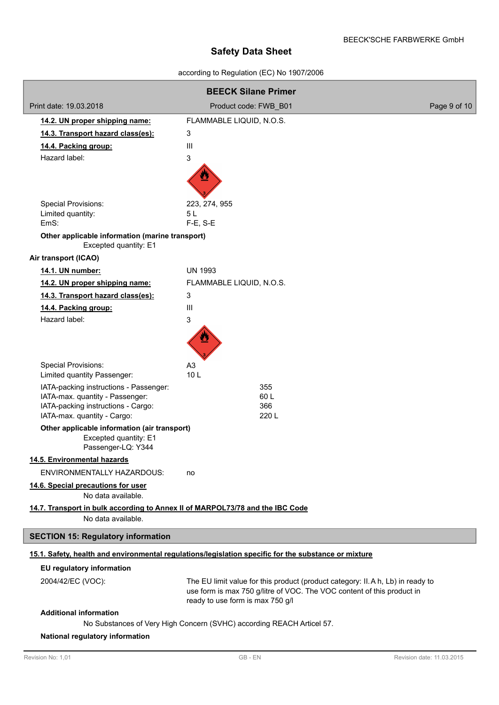## according to Regulation (EC) No 1907/2006

| <b>BEECK Silane Primer</b>                                                                          |                                                                                                            |              |  |  |
|-----------------------------------------------------------------------------------------------------|------------------------------------------------------------------------------------------------------------|--------------|--|--|
| Print date: 19.03.2018                                                                              | Product code: FWB_B01                                                                                      | Page 9 of 10 |  |  |
| 14.2. UN proper shipping name:                                                                      | FLAMMABLE LIQUID, N.O.S.                                                                                   |              |  |  |
| 14.3. Transport hazard class(es):                                                                   | 3                                                                                                          |              |  |  |
| 14.4. Packing group:                                                                                | Ш                                                                                                          |              |  |  |
| Hazard label:                                                                                       | 3                                                                                                          |              |  |  |
|                                                                                                     |                                                                                                            |              |  |  |
| Special Provisions:                                                                                 | 223, 274, 955                                                                                              |              |  |  |
| Limited quantity:<br>EmS:                                                                           | 5L<br>F-E, S-E                                                                                             |              |  |  |
| Other applicable information (marine transport)                                                     |                                                                                                            |              |  |  |
| Excepted quantity: E1                                                                               |                                                                                                            |              |  |  |
| Air transport (ICAO)                                                                                |                                                                                                            |              |  |  |
| 14.1. UN number:                                                                                    | <b>UN 1993</b>                                                                                             |              |  |  |
| 14.2. UN proper shipping name:                                                                      | FLAMMABLE LIQUID, N.O.S.                                                                                   |              |  |  |
| 14.3. Transport hazard class(es):                                                                   | 3                                                                                                          |              |  |  |
| 14.4. Packing group:                                                                                | III                                                                                                        |              |  |  |
| Hazard label:                                                                                       | 3                                                                                                          |              |  |  |
|                                                                                                     |                                                                                                            |              |  |  |
| <b>Special Provisions:</b><br>Limited quantity Passenger:                                           | A3<br>10 <sub>L</sub>                                                                                      |              |  |  |
| IATA-packing instructions - Passenger:                                                              | 355                                                                                                        |              |  |  |
| IATA-max. quantity - Passenger:<br>IATA-packing instructions - Cargo:                               | 60L<br>366                                                                                                 |              |  |  |
| IATA-max. quantity - Cargo:                                                                         | 220 L                                                                                                      |              |  |  |
| Other applicable information (air transport)<br>Excepted quantity: E1<br>Passenger-LQ: Y344         |                                                                                                            |              |  |  |
| 14.5. Environmental hazards                                                                         |                                                                                                            |              |  |  |
| <b>ENVIRONMENTALLY HAZARDOUS:</b>                                                                   | no                                                                                                         |              |  |  |
| 14.6. Special precautions for user<br>No data available.                                            |                                                                                                            |              |  |  |
| 14.7. Transport in bulk according to Annex II of MARPOL73/78 and the IBC Code<br>No data available. |                                                                                                            |              |  |  |
| <b>SECTION 15: Regulatory information</b>                                                           |                                                                                                            |              |  |  |
|                                                                                                     | 15.1. Safety, health and environmental regulations/legislation specific for the substance or mixture       |              |  |  |
| EU regulatory information                                                                           |                                                                                                            |              |  |  |
| 2004/42/EC (VOC):                                                                                   | The EU limit value for this product (product category: II. A h, Lb) in ready to                            |              |  |  |
|                                                                                                     | use form is max 750 g/litre of VOC. The VOC content of this product in<br>ready to use form is max 750 g/l |              |  |  |
| <b>Additional information</b>                                                                       |                                                                                                            |              |  |  |
| No Substances of Very High Concern (SVHC) according REACH Articel 57.                               |                                                                                                            |              |  |  |

## **National regulatory information**